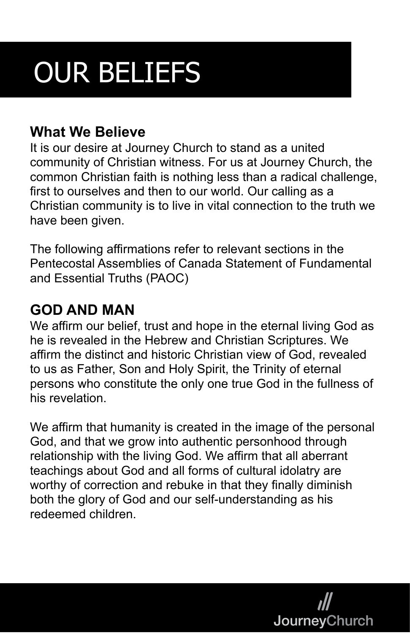# OUR BELIEFS

#### **What We Believe**

It is our desire at Journey Church to stand as a united community of Christian witness. For us at Journey Church, the common Christian faith is nothing less than a radical challenge, first to ourselves and then to our world. Our calling as a Christian community is to live in vital connection to the truth we have been given.

The following affirmations refer to relevant sections in the Pentecostal Assemblies of Canada Statement of Fundamental and Essential Truths (PAOC)

#### **GOD AND MAN**

We affirm our belief, trust and hope in the eternal living God as he is revealed in the Hebrew and Christian Scriptures. We affirm the distinct and historic Christian view of God, revealed to us as Father, Son and Holy Spirit, the Trinity of eternal persons who constitute the only one true God in the fullness of his revelation.

We affirm that humanity is created in the image of the personal God, and that we grow into authentic personhood through relationship with the living God. We affirm that all aberrant teachings about God and all forms of cultural idolatry are worthy of correction and rebuke in that they finally diminish both the glory of God and our self-understanding as his redeemed children.

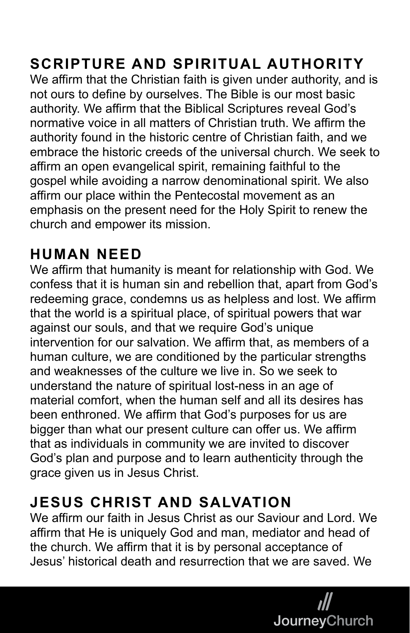# **SCRIPTURE AND SPIRITUAL AUTHORITY**

We affirm that the Christian faith is given under authority, and is not ours to define by ourselves. The Bible is our most basic authority. We affirm that the Biblical Scriptures reveal God's normative voice in all matters of Christian truth. We affirm the authority found in the historic centre of Christian faith, and we embrace the historic creeds of the universal church. We seek to affirm an open evangelical spirit, remaining faithful to the gospel while avoiding a narrow denominational spirit. We also affirm our place within the Pentecostal movement as an emphasis on the present need for the Holy Spirit to renew the church and empower its mission.

#### **HUMAN NEED**

We affirm that humanity is meant for relationship with God. We confess that it is human sin and rebellion that, apart from God's redeeming grace, condemns us as helpless and lost. We affirm that the world is a spiritual place, of spiritual powers that war against our souls, and that we require God's unique intervention for our salvation. We affirm that, as members of a human culture, we are conditioned by the particular strengths and weaknesses of the culture we live in. So we seek to understand the nature of spiritual lost-ness in an age of material comfort, when the human self and all its desires has been enthroned. We affirm that God's purposes for us are bigger than what our present culture can offer us. We affirm that as individuals in community we are invited to discover God's plan and purpose and to learn authenticity through the grace given us in Jesus Christ.

## **JESUS CHRIST AND SALVATION**

We affirm our faith in Jesus Christ as our Saviour and Lord. We affirm that He is uniquely God and man, mediator and head of the church. We affirm that it is by personal acceptance of Jesus' historical death and resurrection that we are saved. We

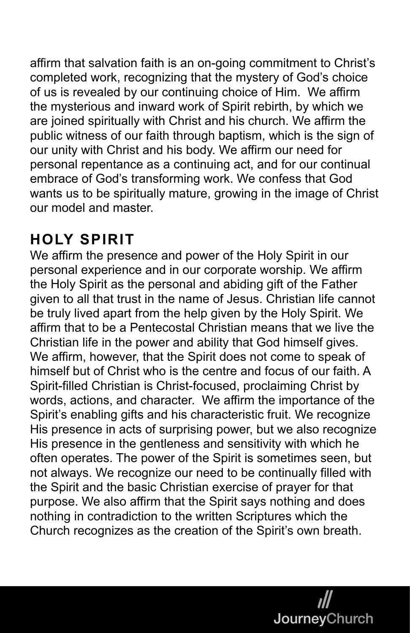affirm that salvation faith is an on-going commitment to Christ's completed work, recognizing that the mystery of God's choice of us is revealed by our continuing choice of Him. We affirm the mysterious and inward work of Spirit rebirth, by which we are joined spiritually with Christ and his church. We affirm the public witness of our faith through baptism, which is the sign of our unity with Christ and his body. We affirm our need for personal repentance as a continuing act, and for our continual embrace of God's transforming work. We confess that God wants us to be spiritually mature, growing in the image of Christ our model and master.

# **HOLY SPIRIT**

We affirm the presence and power of the Holy Spirit in our personal experience and in our corporate worship. We affirm the Holy Spirit as the personal and abiding gift of the Father given to all that trust in the name of Jesus. Christian life cannot be truly lived apart from the help given by the Holy Spirit. We affirm that to be a Pentecostal Christian means that we live the Christian life in the power and ability that God himself gives. We affirm, however, that the Spirit does not come to speak of himself but of Christ who is the centre and focus of our faith. A Spirit-filled Christian is Christ-focused, proclaiming Christ by words, actions, and character. We affirm the importance of the Spirit's enabling gifts and his characteristic fruit. We recognize His presence in acts of surprising power, but we also recognize His presence in the gentleness and sensitivity with which he often operates. The power of the Spirit is sometimes seen, but not always. We recognize our need to be continually filled with the Spirit and the basic Christian exercise of prayer for that purpose. We also affirm that the Spirit says nothing and does nothing in contradiction to the written Scriptures which the Church recognizes as the creation of the Spirit's own breath.

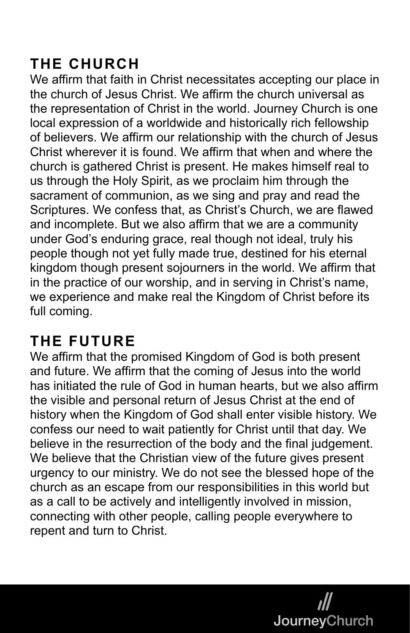# **THE CHURCH**

We affirm that faith in Christ necessitates accepting our place in the church of Jesus Christ. We affirm the church universal as the representation of Christ in the world. Journey Church is one local expression of a worldwide and historically rich fellowship of believers. We affirm our relationship with the church of Jesus Christ wherever it is found. We affirm that when and where the church is gathered Christ is present. He makes himself real to us through the Holy Spirit, as we proclaim him through the sacrament of communion, as we sing and pray and read the Scriptures. We confess that, as Christ's Church, we are flawed and incomplete. But we also affirm that we are a community under God's enduring grace, real though not ideal, truly his people though not yet fully made true, destined for his eternal kingdom though present sojourners in the world. We affirm that in the practice of our worship, and in serving in Christ's name, we experience and make real the Kingdom of Christ before its full coming.

## **THE FUTURE**

We affirm that the promised Kingdom of God is both present and future. We affirm that the coming of Jesus into the world has initiated the rule of God in human hearts, but we also affirm the visible and personal return of Jesus Christ at the end of history when the Kingdom of God shall enter visible history. We confess our need to wait patiently for Christ until that day. We believe in the resurrection of the body and the final judgement. We believe that the Christian view of the future gives present urgency to our ministry. We do not see the blessed hope of the church as an escape from our responsibilities in this world but as a call to be actively and intelligently involved in mission, connecting with other people, calling people everywhere to repent and turn to Christ.